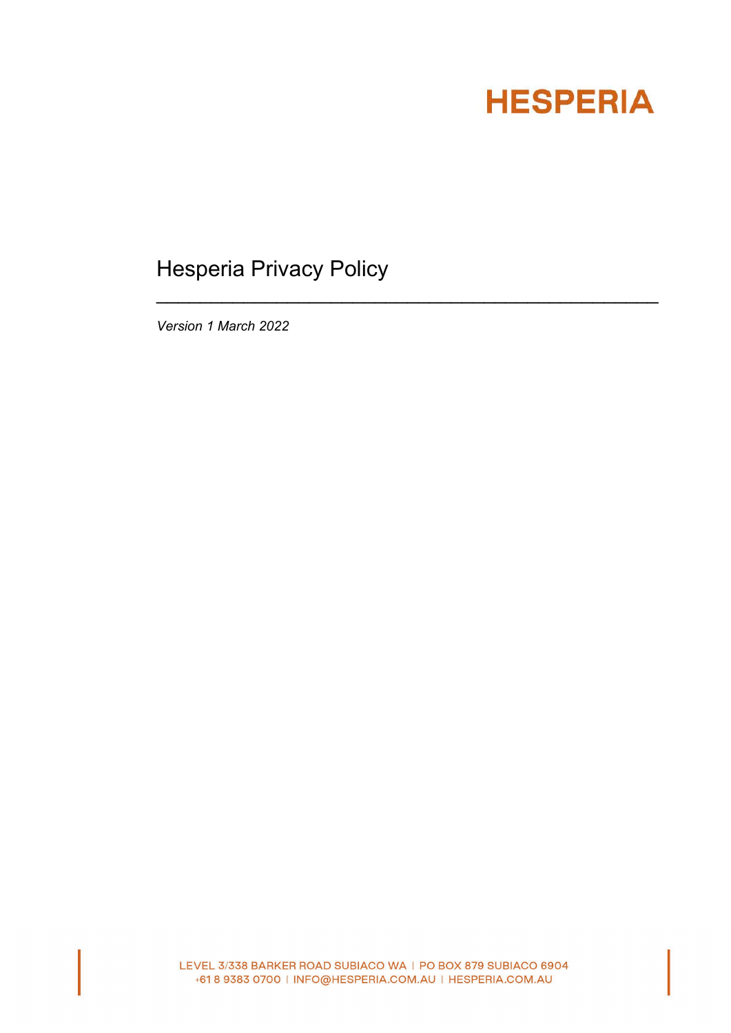# **HESPERIA**

# Hesperia Privacy Policy

\_\_\_\_\_\_\_\_\_\_\_\_\_\_\_\_\_\_\_\_\_\_\_\_\_\_\_\_\_\_\_\_\_\_\_\_\_\_\_\_\_\_\_\_\_\_

*Version 1 March 2022*

LEVEL 3/338 BARKER ROAD SUBIACO WA | PO BOX 879 SUBIACO 6904 +61 8 9383 0700 | INFO@HESPERIA.COM.AU | HESPERIA.COM.AU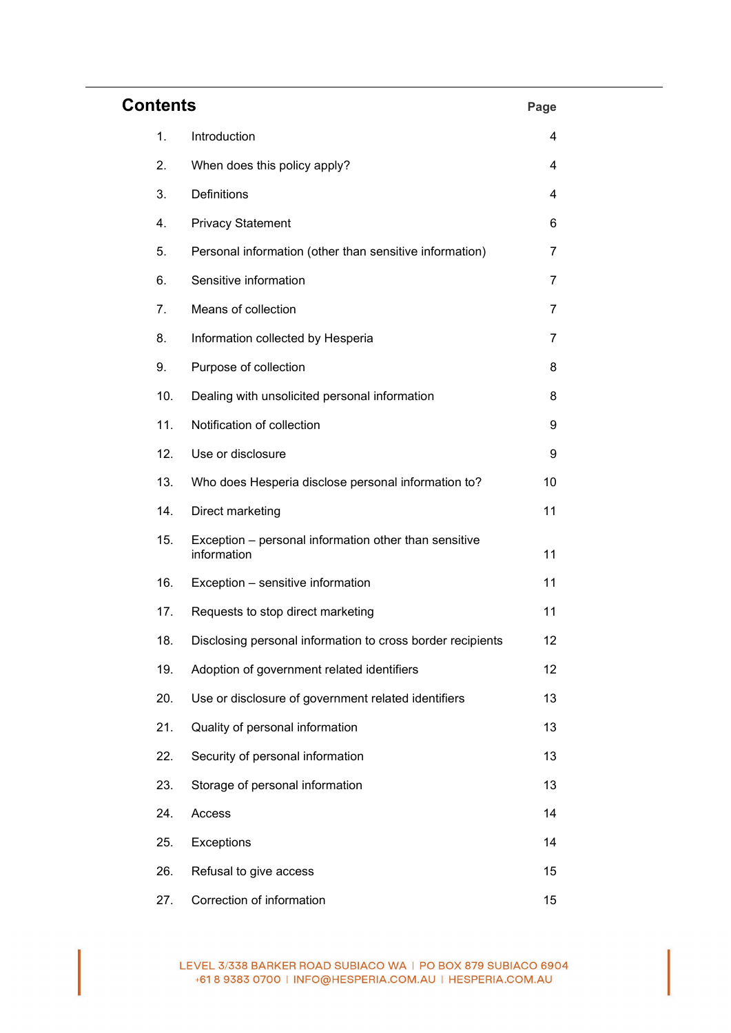| <b>Contents</b><br>Page |     |                                                                      |    |
|-------------------------|-----|----------------------------------------------------------------------|----|
|                         | 1.  | Introduction                                                         | 4  |
|                         | 2.  | When does this policy apply?                                         | 4  |
|                         | 3.  | Definitions                                                          | 4  |
|                         | 4.  | <b>Privacy Statement</b>                                             | 6  |
|                         | 5.  | Personal information (other than sensitive information)              | 7  |
|                         | 6.  | Sensitive information                                                | 7  |
|                         | 7.  | Means of collection                                                  | 7  |
|                         | 8.  | Information collected by Hesperia                                    | 7  |
|                         | 9.  | Purpose of collection                                                | 8  |
|                         | 10. | Dealing with unsolicited personal information                        | 8  |
|                         | 11. | Notification of collection                                           | 9  |
|                         | 12. | Use or disclosure                                                    | 9  |
|                         | 13. | Who does Hesperia disclose personal information to?                  | 10 |
|                         | 14. | Direct marketing                                                     | 11 |
|                         | 15. | Exception - personal information other than sensitive<br>information | 11 |
|                         | 16. | Exception - sensitive information                                    | 11 |
|                         | 17. | Requests to stop direct marketing                                    | 11 |
|                         | 18. | Disclosing personal information to cross border recipients           | 12 |
|                         | 19. | Adoption of government related identifiers                           | 12 |
|                         | 20. | Use or disclosure of government related identifiers                  | 13 |
|                         | 21. | Quality of personal information                                      | 13 |
|                         | 22. | Security of personal information                                     | 13 |
|                         | 23. | Storage of personal information                                      | 13 |
|                         | 24. | Access                                                               | 14 |
|                         | 25. | Exceptions                                                           | 14 |
|                         | 26. | Refusal to give access                                               | 15 |
|                         | 27. | Correction of information                                            | 15 |

LEVEL 3/338 BARKER ROAD SUBIACO WA | PO BOX 879 SUBIACO 6904 +61 8 9383 0700 | INFO@HESPERIA.COM.AU | HESPERIA.COM.AU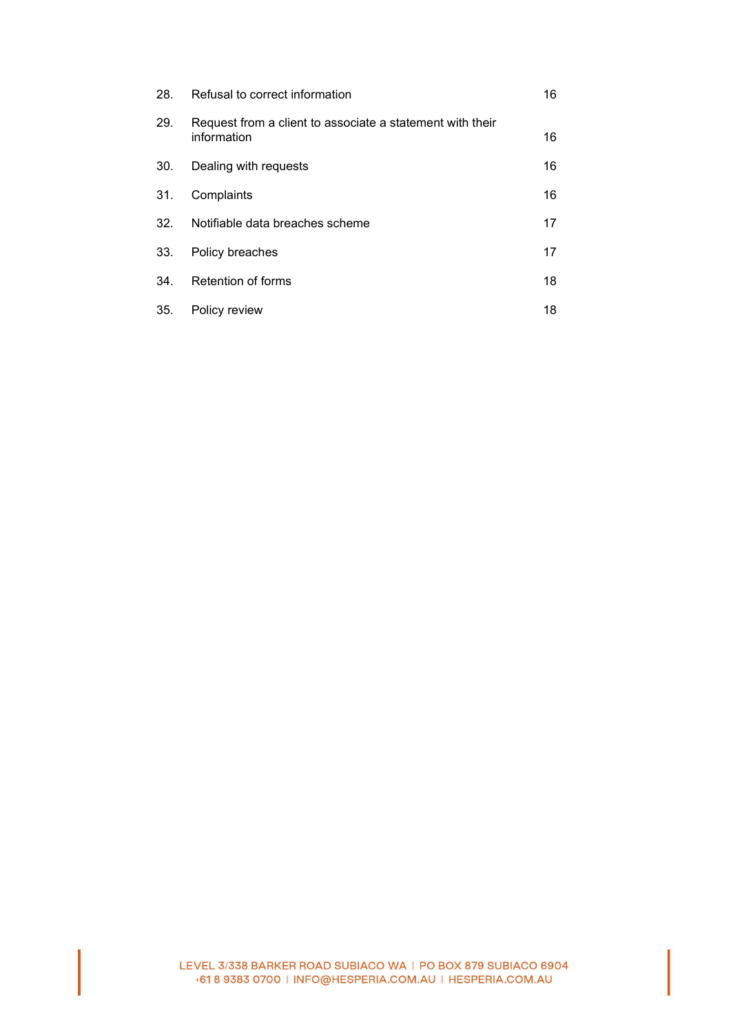| 28. | Refusal to correct information                                           | 16 |
|-----|--------------------------------------------------------------------------|----|
| 29. | Request from a client to associate a statement with their<br>information | 16 |
| 30. | Dealing with requests                                                    | 16 |
| 31. | Complaints                                                               | 16 |
| 32. | Notifiable data breaches scheme                                          | 17 |
| 33. | Policy breaches                                                          | 17 |
| 34. | Retention of forms                                                       | 18 |
| 35. | Policy review                                                            | 18 |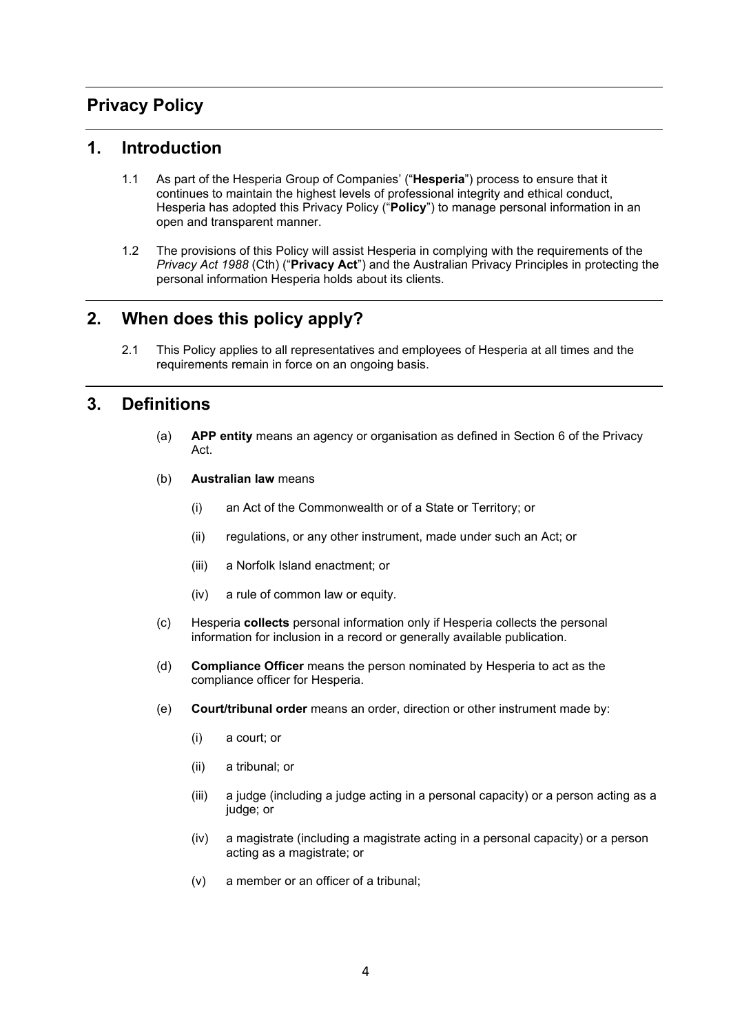# **Privacy Policy**

#### **1. Introduction**

- 1.1 As part of the Hesperia Group of Companies' ("**Hesperia**") process to ensure that it continues to maintain the highest levels of professional integrity and ethical conduct, Hesperia has adopted this Privacy Policy ("**Policy**") to manage personal information in an open and transparent manner.
- 1.2 The provisions of this Policy will assist Hesperia in complying with the requirements of the *Privacy Act 1988* (Cth) ("**Privacy Act**") and the Australian Privacy Principles in protecting the personal information Hesperia holds about its clients.

## **2. When does this policy apply?**

2.1 This Policy applies to all representatives and employees of Hesperia at all times and the requirements remain in force on an ongoing basis.

## **3. Definitions**

- (a) **APP entity** means an agency or organisation as defined in Section 6 of the Privacy Act.
- (b) **Australian law** means
	- (i) an Act of the Commonwealth or of a State or Territory; or
	- (ii) regulations, or any other instrument, made under such an Act; or
	- (iii) a Norfolk Island enactment; or
	- (iv) a rule of common law or equity.
- (c) Hesperia **collects** personal information only if Hesperia collects the personal information for inclusion in a record or generally available publication.
- (d) **Compliance Officer** means the person nominated by Hesperia to act as the compliance officer for Hesperia.
- (e) **Court/tribunal order** means an order, direction or other instrument made by:
	- (i) a court; or
	- (ii) a tribunal; or
	- (iii) a judge (including a judge acting in a personal capacity) or a person acting as a judge; or
	- (iv) a magistrate (including a magistrate acting in a personal capacity) or a person acting as a magistrate; or
	- (v) a member or an officer of a tribunal;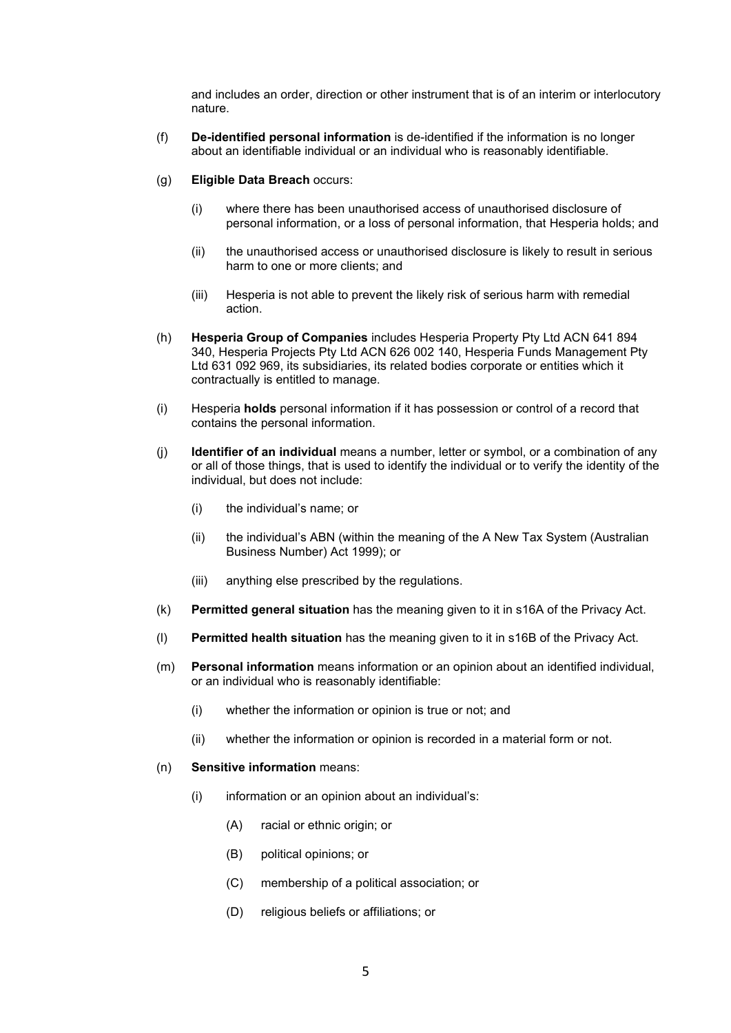and includes an order, direction or other instrument that is of an interim or interlocutory nature.

- (f) **De-identified personal information** is de-identified if the information is no longer about an identifiable individual or an individual who is reasonably identifiable.
- (g) **Eligible Data Breach** occurs:
	- (i) where there has been unauthorised access of unauthorised disclosure of personal information, or a loss of personal information, that Hesperia holds; and
	- (ii) the unauthorised access or unauthorised disclosure is likely to result in serious harm to one or more clients; and
	- (iii) Hesperia is not able to prevent the likely risk of serious harm with remedial action.
- (h) **Hesperia Group of Companies** includes Hesperia Property Pty Ltd ACN 641 894 340, Hesperia Projects Pty Ltd ACN 626 002 140, Hesperia Funds Management Pty Ltd 631 092 969, its subsidiaries, its related bodies corporate or entities which it contractually is entitled to manage.
- (i) Hesperia **holds** personal information if it has possession or control of a record that contains the personal information.
- (j) **Identifier of an individual** means a number, letter or symbol, or a combination of any or all of those things, that is used to identify the individual or to verify the identity of the individual, but does not include:
	- (i) the individual's name; or
	- (ii) the individual's ABN (within the meaning of the A New Tax System (Australian Business Number) Act 1999); or
	- (iii) anything else prescribed by the regulations.
- (k) **Permitted general situation** has the meaning given to it in s16A of the Privacy Act.
- (l) **Permitted health situation** has the meaning given to it in s16B of the Privacy Act.
- (m) **Personal information** means information or an opinion about an identified individual, or an individual who is reasonably identifiable:
	- (i) whether the information or opinion is true or not; and
	- (ii) whether the information or opinion is recorded in a material form or not.
- (n) **Sensitive information** means:
	- (i) information or an opinion about an individual's:
		- (A) racial or ethnic origin; or
		- (B) political opinions; or
		- (C) membership of a political association; or
		- (D) religious beliefs or affiliations; or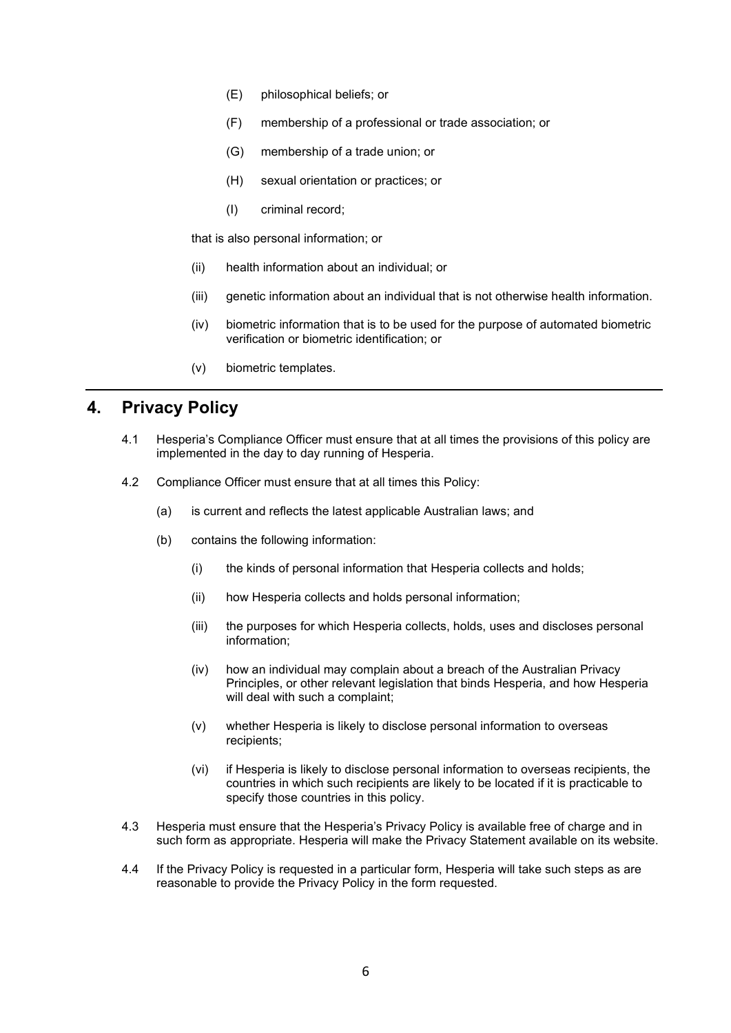- (E) philosophical beliefs; or
- (F) membership of a professional or trade association; or
- (G) membership of a trade union; or
- (H) sexual orientation or practices; or
- (I) criminal record;

that is also personal information; or

- (ii) health information about an individual; or
- (iii) genetic information about an individual that is not otherwise health information.
- (iv) biometric information that is to be used for the purpose of automated biometric verification or biometric identification; or
- (v) biometric templates.

#### **4. Privacy Policy**

- 4.1 Hesperia's Compliance Officer must ensure that at all times the provisions of this policy are implemented in the day to day running of Hesperia.
- 4.2 Compliance Officer must ensure that at all times this Policy:
	- (a) is current and reflects the latest applicable Australian laws; and
	- (b) contains the following information:
		- (i) the kinds of personal information that Hesperia collects and holds;
		- (ii) how Hesperia collects and holds personal information;
		- (iii) the purposes for which Hesperia collects, holds, uses and discloses personal information;
		- (iv) how an individual may complain about a breach of the Australian Privacy Principles, or other relevant legislation that binds Hesperia, and how Hesperia will deal with such a complaint;
		- (v) whether Hesperia is likely to disclose personal information to overseas recipients;
		- (vi) if Hesperia is likely to disclose personal information to overseas recipients, the countries in which such recipients are likely to be located if it is practicable to specify those countries in this policy.
- 4.3 Hesperia must ensure that the Hesperia's Privacy Policy is available free of charge and in such form as appropriate. Hesperia will make the Privacy Statement available on its website.
- 4.4 If the Privacy Policy is requested in a particular form, Hesperia will take such steps as are reasonable to provide the Privacy Policy in the form requested.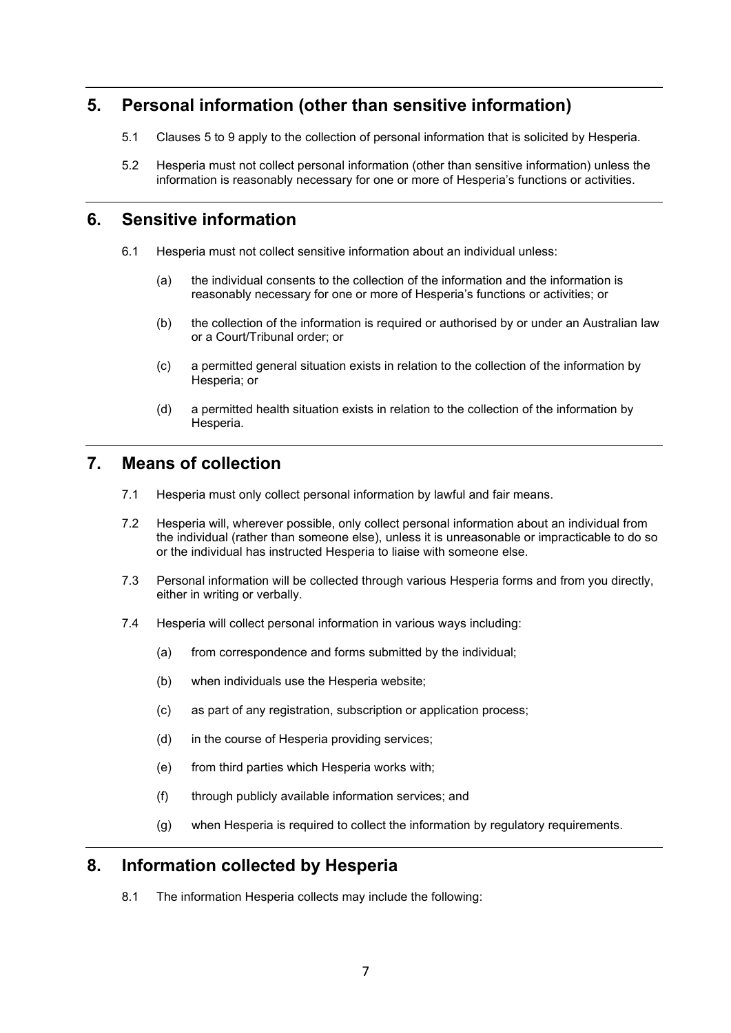# <span id="page-6-0"></span>**5. Personal information (other than sensitive information)**

- 5.1 Clauses [5](#page-6-0) to [9](#page-7-0) apply to the collection of personal information that is solicited by Hesperia.
- 5.2 Hesperia must not collect personal information (other than sensitive information) unless the information is reasonably necessary for one or more of Hesperia's functions or activities.

#### **6. Sensitive information**

- 6.1 Hesperia must not collect sensitive information about an individual unless:
	- (a) the individual consents to the collection of the information and the information is reasonably necessary for one or more of Hesperia's functions or activities; or
	- (b) the collection of the information is required or authorised by or under an Australian law or a Court/Tribunal order; or
	- (c) a permitted general situation exists in relation to the collection of the information by Hesperia; or
	- (d) a permitted health situation exists in relation to the collection of the information by Hesperia.

# **7. Means of collection**

- 7.1 Hesperia must only collect personal information by lawful and fair means.
- 7.2 Hesperia will, wherever possible, only collect personal information about an individual from the individual (rather than someone else), unless it is unreasonable or impracticable to do so or the individual has instructed Hesperia to liaise with someone else.
- 7.3 Personal information will be collected through various Hesperia forms and from you directly, either in writing or verbally.
- 7.4 Hesperia will collect personal information in various ways including:
	- (a) from correspondence and forms submitted by the individual;
	- (b) when individuals use the Hesperia website;
	- (c) as part of any registration, subscription or application process;
	- (d) in the course of Hesperia providing services;
	- (e) from third parties which Hesperia works with;
	- (f) through publicly available information services; and
	- (g) when Hesperia is required to collect the information by regulatory requirements.

#### **8. Information collected by Hesperia**

8.1 The information Hesperia collects may include the following: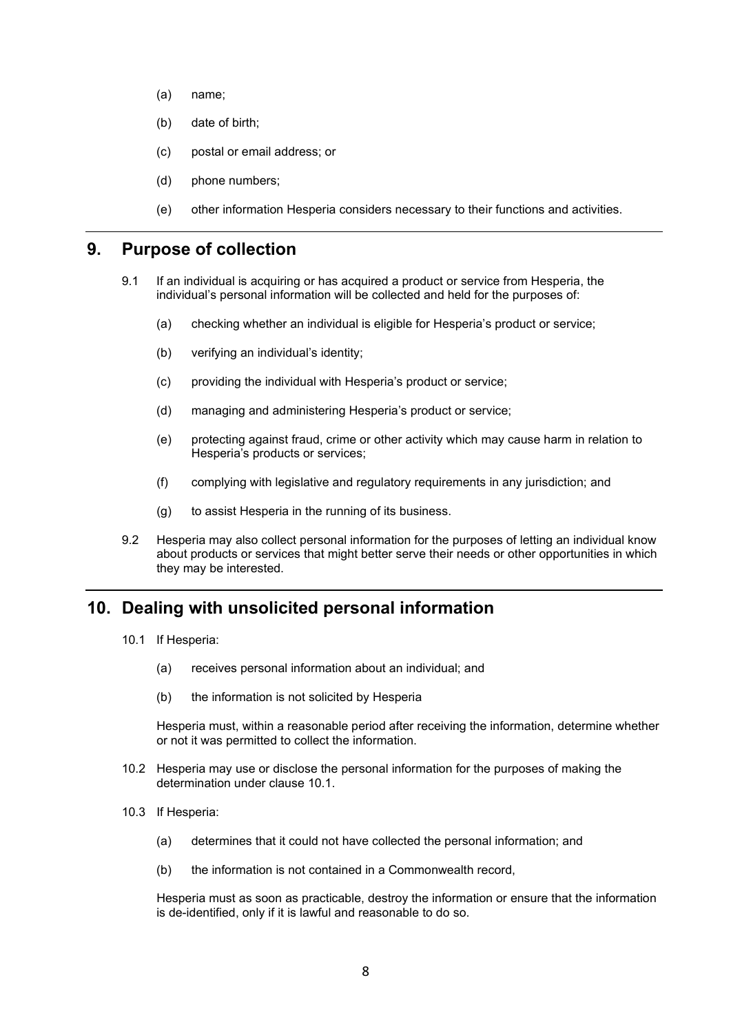- (a) name;
- (b) date of birth;
- (c) postal or email address; or
- (d) phone numbers;
- (e) other information Hesperia considers necessary to their functions and activities.

#### <span id="page-7-0"></span>**9. Purpose of collection**

- 9.1 If an individual is acquiring or has acquired a product or service from Hesperia, the individual's personal information will be collected and held for the purposes of:
	- (a) checking whether an individual is eligible for Hesperia's product or service;
	- (b) verifying an individual's identity;
	- (c) providing the individual with Hesperia's product or service;
	- (d) managing and administering Hesperia's product or service;
	- (e) protecting against fraud, crime or other activity which may cause harm in relation to Hesperia's products or services;
	- (f) complying with legislative and regulatory requirements in any jurisdiction; and
	- (g) to assist Hesperia in the running of its business.
- 9.2 Hesperia may also collect personal information for the purposes of letting an individual know about products or services that might better serve their needs or other opportunities in which they may be interested.

#### <span id="page-7-2"></span><span id="page-7-1"></span>**10. Dealing with unsolicited personal information**

- 10.1 If Hesperia:
	- (a) receives personal information about an individual; and
	- (b) the information is not solicited by Hesperia

Hesperia must, within a reasonable period after receiving the information, determine whether or not it was permitted to collect the information.

- 10.2 Hesperia may use or disclose the personal information for the purposes of making the determination under clause [10.1.](#page-7-1)
- 10.3 If Hesperia:
	- (a) determines that it could not have collected the personal information; and
	- (b) the information is not contained in a Commonwealth record,

Hesperia must as soon as practicable, destroy the information or ensure that the information is de-identified, only if it is lawful and reasonable to do so.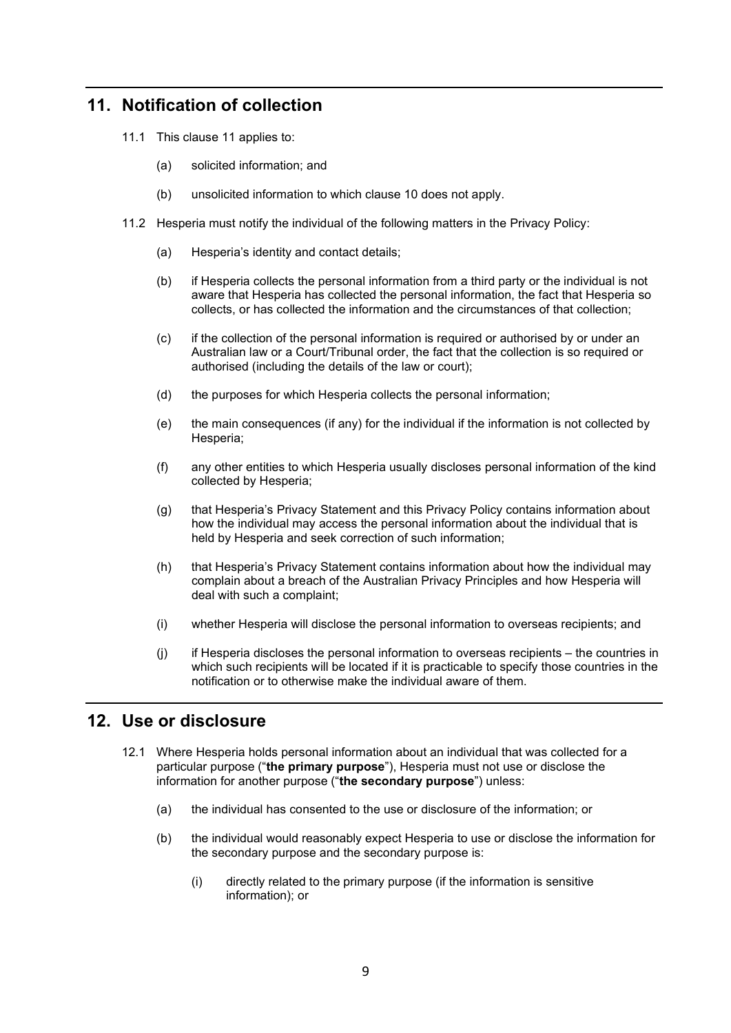# <span id="page-8-0"></span>**11. Notification of collection**

- 11.1 This clause [11](#page-8-0) applies to:
	- (a) solicited information; and
	- (b) unsolicited information to which clause [10](#page-7-2) does not apply.
- 11.2 Hesperia must notify the individual of the following matters in the Privacy Policy:
	- (a) Hesperia's identity and contact details;
	- (b) if Hesperia collects the personal information from a third party or the individual is not aware that Hesperia has collected the personal information, the fact that Hesperia so collects, or has collected the information and the circumstances of that collection;
	- (c) if the collection of the personal information is required or authorised by or under an Australian law or a Court/Tribunal order, the fact that the collection is so required or authorised (including the details of the law or court);
	- (d) the purposes for which Hesperia collects the personal information;
	- (e) the main consequences (if any) for the individual if the information is not collected by Hesperia;
	- (f) any other entities to which Hesperia usually discloses personal information of the kind collected by Hesperia;
	- (g) that Hesperia's Privacy Statement and this Privacy Policy contains information about how the individual may access the personal information about the individual that is held by Hesperia and seek correction of such information;
	- (h) that Hesperia's Privacy Statement contains information about how the individual may complain about a breach of the Australian Privacy Principles and how Hesperia will deal with such a complaint;
	- (i) whether Hesperia will disclose the personal information to overseas recipients; and
	- (j) if Hesperia discloses the personal information to overseas recipients the countries in which such recipients will be located if it is practicable to specify those countries in the notification or to otherwise make the individual aware of them.

# <span id="page-8-1"></span>**12. Use or disclosure**

- 12.1 Where Hesperia holds personal information about an individual that was collected for a particular purpose ("**the primary purpose**"), Hesperia must not use or disclose the information for another purpose ("**the secondary purpose**") unless:
	- (a) the individual has consented to the use or disclosure of the information; or
	- (b) the individual would reasonably expect Hesperia to use or disclose the information for the secondary purpose and the secondary purpose is:
		- (i) directly related to the primary purpose (if the information is sensitive information); or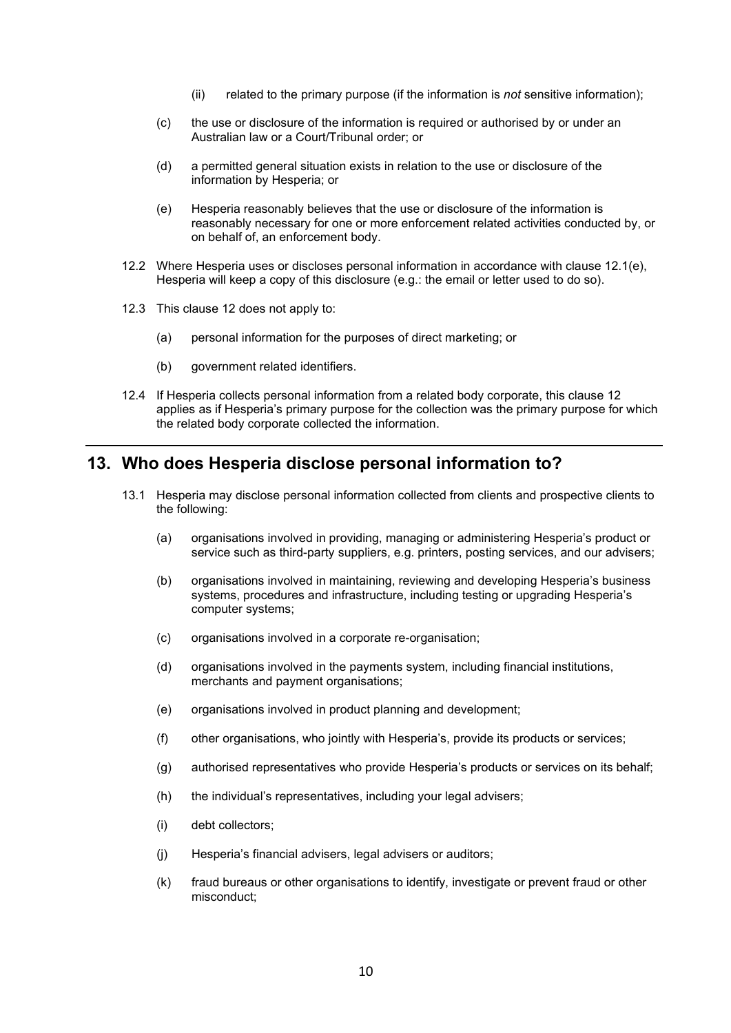- (ii) related to the primary purpose (if the information is *not* sensitive information);
- (c) the use or disclosure of the information is required or authorised by or under an Australian law or a Court/Tribunal order; or
- (d) a permitted general situation exists in relation to the use or disclosure of the information by Hesperia; or
- (e) Hesperia reasonably believes that the use or disclosure of the information is reasonably necessary for one or more enforcement related activities conducted by, or on behalf of, an enforcement body.
- <span id="page-9-0"></span>12.2 Where Hesperia uses or discloses personal information in accordance with clause [12.1\(e\),](#page-9-0) Hesperia will keep a copy of this disclosure (e.g.: the email or letter used to do so).
- 12.3 This clause [12](#page-8-1) does not apply to:
	- (a) personal information for the purposes of direct marketing; or
	- (b) government related identifiers.
- 12.4 If Hesperia collects personal information from a related body corporate, this clause [12](#page-8-1) applies as if Hesperia's primary purpose for the collection was the primary purpose for which the related body corporate collected the information.

#### **13. Who does Hesperia disclose personal information to?**

- 13.1 Hesperia may disclose personal information collected from clients and prospective clients to the following:
	- (a) organisations involved in providing, managing or administering Hesperia's product or service such as third-party suppliers, e.g. printers, posting services, and our advisers;
	- (b) organisations involved in maintaining, reviewing and developing Hesperia's business systems, procedures and infrastructure, including testing or upgrading Hesperia's computer systems;
	- (c) organisations involved in a corporate re-organisation;
	- (d) organisations involved in the payments system, including financial institutions, merchants and payment organisations;
	- (e) organisations involved in product planning and development;
	- (f) other organisations, who jointly with Hesperia's, provide its products or services;
	- (g) authorised representatives who provide Hesperia's products or services on its behalf;
	- (h) the individual's representatives, including your legal advisers;
	- (i) debt collectors;
	- (j) Hesperia's financial advisers, legal advisers or auditors;
	- (k) fraud bureaus or other organisations to identify, investigate or prevent fraud or other misconduct;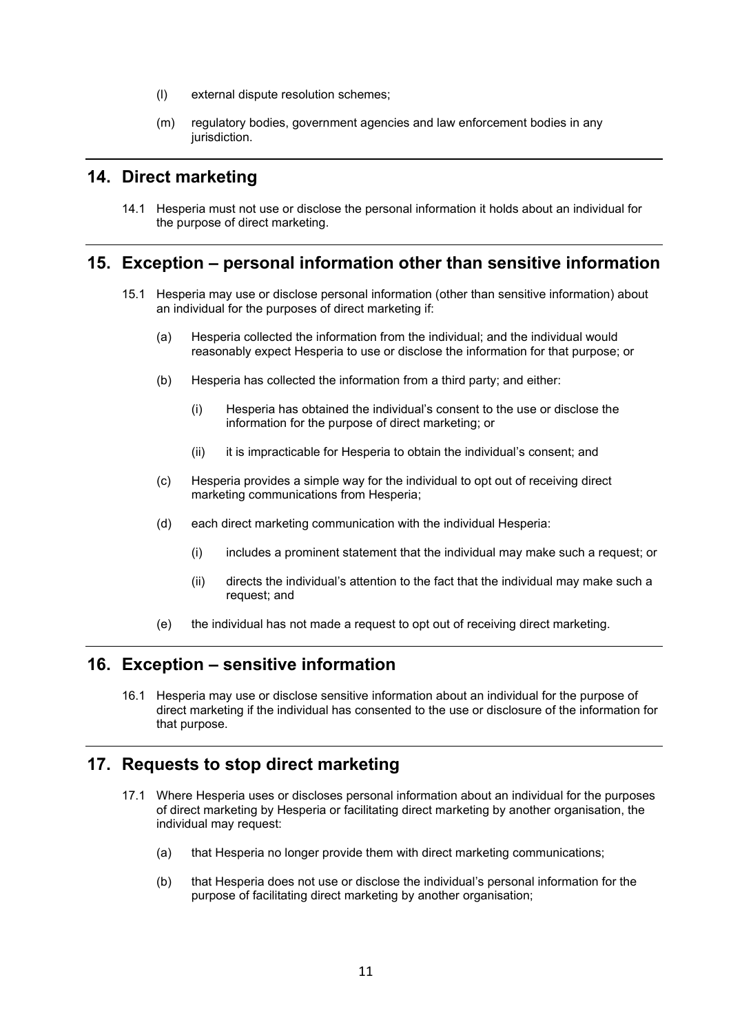- (l) external dispute resolution schemes;
- (m) regulatory bodies, government agencies and law enforcement bodies in any jurisdiction.

#### <span id="page-10-3"></span>**14. Direct marketing**

14.1 Hesperia must not use or disclose the personal information it holds about an individual for the purpose of direct marketing.

#### **15. Exception – personal information other than sensitive information**

- 15.1 Hesperia may use or disclose personal information (other than sensitive information) about an individual for the purposes of direct marketing if:
	- (a) Hesperia collected the information from the individual; and the individual would reasonably expect Hesperia to use or disclose the information for that purpose; or
	- (b) Hesperia has collected the information from a third party; and either:
		- (i) Hesperia has obtained the individual's consent to the use or disclose the information for the purpose of direct marketing; or
		- (ii) it is impracticable for Hesperia to obtain the individual's consent; and
	- (c) Hesperia provides a simple way for the individual to opt out of receiving direct marketing communications from Hesperia;
	- (d) each direct marketing communication with the individual Hesperia:
		- (i) includes a prominent statement that the individual may make such a request; or
		- (ii) directs the individual's attention to the fact that the individual may make such a request; and
	- (e) the individual has not made a request to opt out of receiving direct marketing.

#### **16. Exception – sensitive information**

16.1 Hesperia may use or disclose sensitive information about an individual for the purpose of direct marketing if the individual has consented to the use or disclosure of the information for that purpose.

#### <span id="page-10-4"></span><span id="page-10-0"></span>**17. Requests to stop direct marketing**

- <span id="page-10-2"></span><span id="page-10-1"></span>17.1 Where Hesperia uses or discloses personal information about an individual for the purposes of direct marketing by Hesperia or facilitating direct marketing by another organisation, the individual may request:
	- (a) that Hesperia no longer provide them with direct marketing communications;
	- (b) that Hesperia does not use or disclose the individual's personal information for the purpose of facilitating direct marketing by another organisation;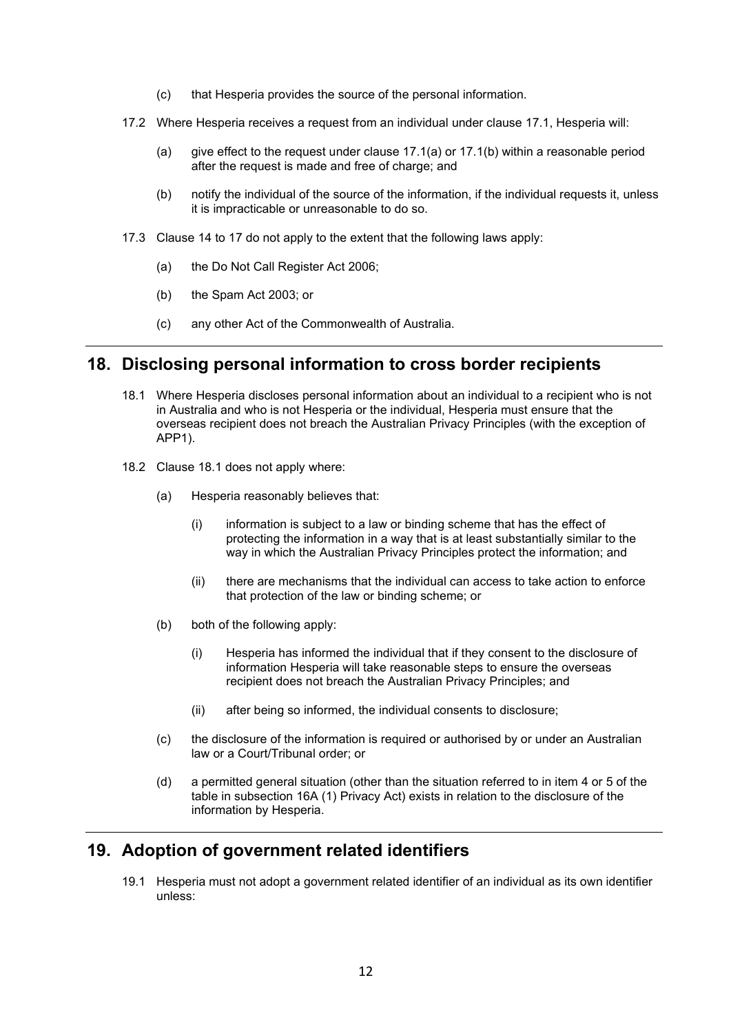- (c) that Hesperia provides the source of the personal information.
- 17.2 Where Hesperia receives a request from an individual under clause [17.1,](#page-10-0) Hesperia will:
	- (a) give effect to the request under clause [17.1\(a\)](#page-10-1) or [17.1\(b\)](#page-10-2) within a reasonable period after the request is made and free of charge; and
	- (b) notify the individual of the source of the information, if the individual requests it, unless it is impracticable or unreasonable to do so.
- 17.3 Clause [14](#page-10-3) to [17](#page-10-4) do not apply to the extent that the following laws apply:
	- (a) the Do Not Call Register Act 2006;
	- (b) the Spam Act 2003; or
	- (c) any other Act of the Commonwealth of Australia.

#### **18. Disclosing personal information to cross border recipients**

- <span id="page-11-0"></span>18.1 Where Hesperia discloses personal information about an individual to a recipient who is not in Australia and who is not Hesperia or the individual, Hesperia must ensure that the overseas recipient does not breach the Australian Privacy Principles (with the exception of APP1).
- 18.2 Clause [18.1](#page-11-0) does not apply where:
	- (a) Hesperia reasonably believes that:
		- (i) information is subject to a law or binding scheme that has the effect of protecting the information in a way that is at least substantially similar to the way in which the Australian Privacy Principles protect the information; and
		- (ii) there are mechanisms that the individual can access to take action to enforce that protection of the law or binding scheme; or
	- (b) both of the following apply:
		- (i) Hesperia has informed the individual that if they consent to the disclosure of information Hesperia will take reasonable steps to ensure the overseas recipient does not breach the Australian Privacy Principles; and
		- (ii) after being so informed, the individual consents to disclosure;
	- (c) the disclosure of the information is required or authorised by or under an Australian law or a Court/Tribunal order; or
	- (d) a permitted general situation (other than the situation referred to in item 4 or 5 of the table in subsection 16A (1) Privacy Act) exists in relation to the disclosure of the information by Hesperia.

#### **19. Adoption of government related identifiers**

19.1 Hesperia must not adopt a government related identifier of an individual as its own identifier unless: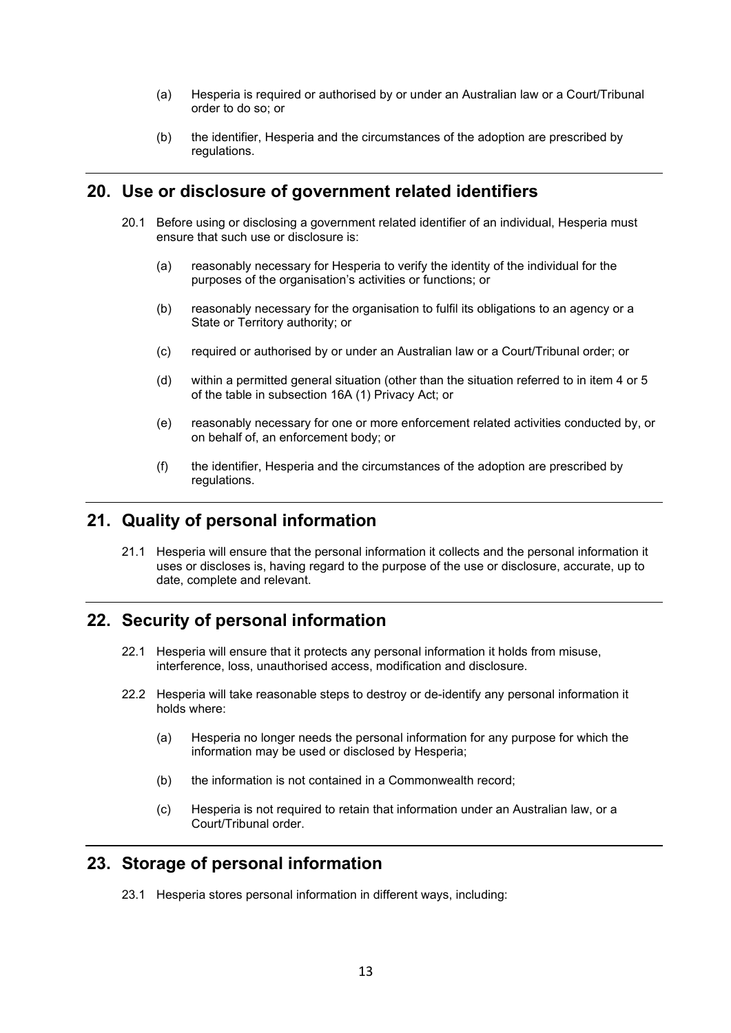- (a) Hesperia is required or authorised by or under an Australian law or a Court/Tribunal order to do so; or
- (b) the identifier, Hesperia and the circumstances of the adoption are prescribed by regulations.

#### **20. Use or disclosure of government related identifiers**

- 20.1 Before using or disclosing a government related identifier of an individual, Hesperia must ensure that such use or disclosure is:
	- (a) reasonably necessary for Hesperia to verify the identity of the individual for the purposes of the organisation's activities or functions; or
	- (b) reasonably necessary for the organisation to fulfil its obligations to an agency or a State or Territory authority; or
	- (c) required or authorised by or under an Australian law or a Court/Tribunal order; or
	- (d) within a permitted general situation (other than the situation referred to in item 4 or 5 of the table in subsection 16A (1) Privacy Act; or
	- (e) reasonably necessary for one or more enforcement related activities conducted by, or on behalf of, an enforcement body; or
	- (f) the identifier, Hesperia and the circumstances of the adoption are prescribed by regulations.

#### **21. Quality of personal information**

21.1 Hesperia will ensure that the personal information it collects and the personal information it uses or discloses is, having regard to the purpose of the use or disclosure, accurate, up to date, complete and relevant.

#### **22. Security of personal information**

- 22.1 Hesperia will ensure that it protects any personal information it holds from misuse, interference, loss, unauthorised access, modification and disclosure.
- 22.2 Hesperia will take reasonable steps to destroy or de-identify any personal information it holds where:
	- (a) Hesperia no longer needs the personal information for any purpose for which the information may be used or disclosed by Hesperia;
	- (b) the information is not contained in a Commonwealth record;
	- (c) Hesperia is not required to retain that information under an Australian law, or a Court/Tribunal order.

#### **23. Storage of personal information**

23.1 Hesperia stores personal information in different ways, including: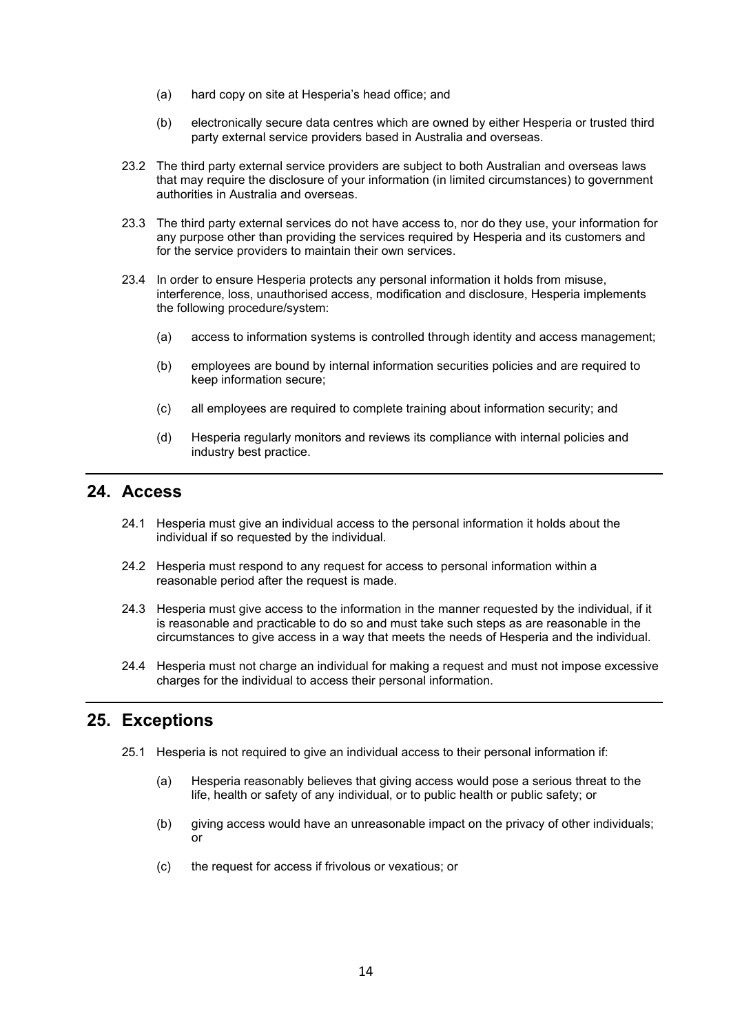- (a) hard copy on site at Hesperia's head office; and
- (b) electronically secure data centres which are owned by either Hesperia or trusted third party external service providers based in Australia and overseas.
- 23.2 The third party external service providers are subject to both Australian and overseas laws that may require the disclosure of your information (in limited circumstances) to government authorities in Australia and overseas.
- 23.3 The third party external services do not have access to, nor do they use, your information for any purpose other than providing the services required by Hesperia and its customers and for the service providers to maintain their own services.
- 23.4 In order to ensure Hesperia protects any personal information it holds from misuse, interference, loss, unauthorised access, modification and disclosure, Hesperia implements the following procedure/system:
	- (a) access to information systems is controlled through identity and access management;
	- (b) employees are bound by internal information securities policies and are required to keep information secure;
	- (c) all employees are required to complete training about information security; and
	- (d) Hesperia regularly monitors and reviews its compliance with internal policies and industry best practice.

#### <span id="page-13-0"></span>**24. Access**

- 24.1 Hesperia must give an individual access to the personal information it holds about the individual if so requested by the individual.
- 24.2 Hesperia must respond to any request for access to personal information within a reasonable period after the request is made.
- 24.3 Hesperia must give access to the information in the manner requested by the individual, if it is reasonable and practicable to do so and must take such steps as are reasonable in the circumstances to give access in a way that meets the needs of Hesperia and the individual.
- 24.4 Hesperia must not charge an individual for making a request and must not impose excessive charges for the individual to access their personal information.

#### **25. Exceptions**

- 25.1 Hesperia is not required to give an individual access to their personal information if:
	- (a) Hesperia reasonably believes that giving access would pose a serious threat to the life, health or safety of any individual, or to public health or public safety; or
	- (b) giving access would have an unreasonable impact on the privacy of other individuals; or
	- (c) the request for access if frivolous or vexatious; or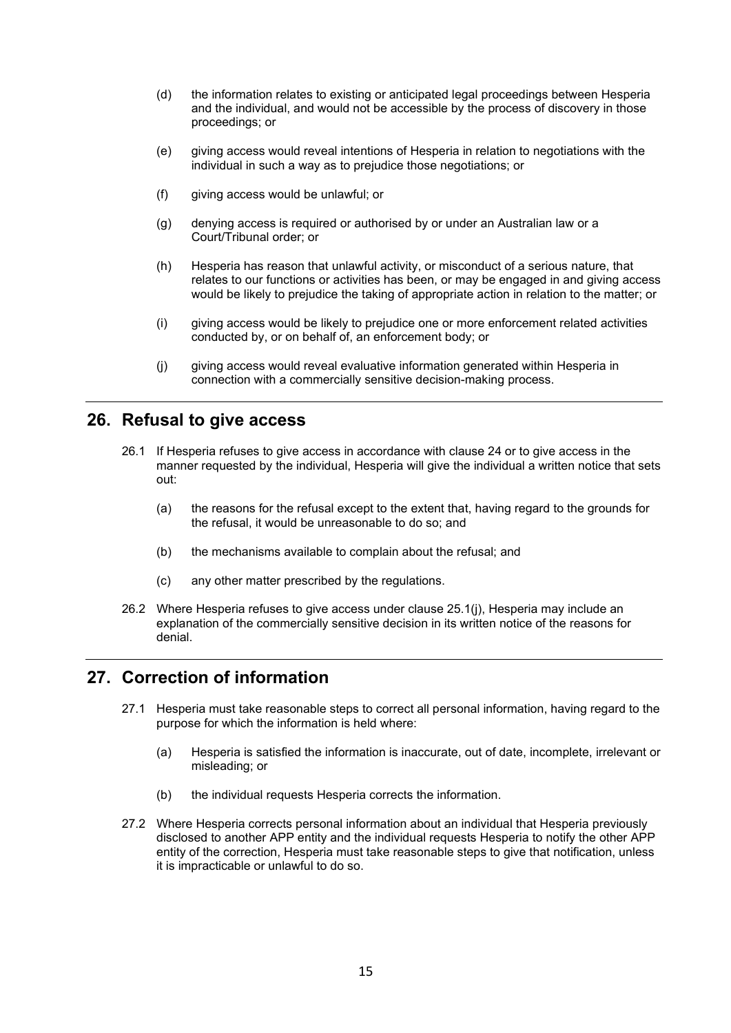- (d) the information relates to existing or anticipated legal proceedings between Hesperia and the individual, and would not be accessible by the process of discovery in those proceedings; or
- (e) giving access would reveal intentions of Hesperia in relation to negotiations with the individual in such a way as to prejudice those negotiations; or
- (f) giving access would be unlawful; or
- (g) denying access is required or authorised by or under an Australian law or a Court/Tribunal order; or
- (h) Hesperia has reason that unlawful activity, or misconduct of a serious nature, that relates to our functions or activities has been, or may be engaged in and giving access would be likely to prejudice the taking of appropriate action in relation to the matter; or
- (i) giving access would be likely to prejudice one or more enforcement related activities conducted by, or on behalf of, an enforcement body; or
- (j) giving access would reveal evaluative information generated within Hesperia in connection with a commercially sensitive decision-making process.

#### <span id="page-14-0"></span>**26. Refusal to give access**

- 26.1 If Hesperia refuses to give access in accordance with clause [24](#page-13-0) or to give access in the manner requested by the individual, Hesperia will give the individual a written notice that sets out:
	- (a) the reasons for the refusal except to the extent that, having regard to the grounds for the refusal, it would be unreasonable to do so; and
	- (b) the mechanisms available to complain about the refusal; and
	- (c) any other matter prescribed by the regulations.
- 26.2 Where Hesperia refuses to give access under clause [25.1\(j\),](#page-14-0) Hesperia may include an explanation of the commercially sensitive decision in its written notice of the reasons for denial.

#### <span id="page-14-1"></span>**27. Correction of information**

- 27.1 Hesperia must take reasonable steps to correct all personal information, having regard to the purpose for which the information is held where:
	- (a) Hesperia is satisfied the information is inaccurate, out of date, incomplete, irrelevant or misleading; or
	- (b) the individual requests Hesperia corrects the information.
- 27.2 Where Hesperia corrects personal information about an individual that Hesperia previously disclosed to another APP entity and the individual requests Hesperia to notify the other APP entity of the correction, Hesperia must take reasonable steps to give that notification, unless it is impracticable or unlawful to do so.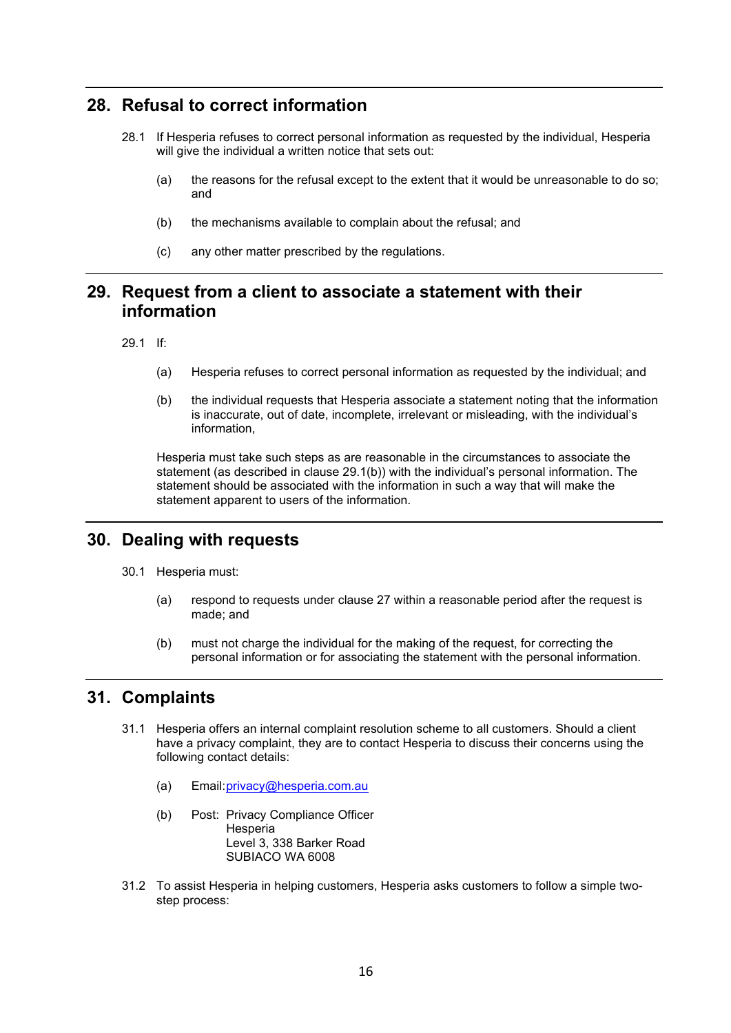#### **28. Refusal to correct information**

- 28.1 If Hesperia refuses to correct personal information as requested by the individual, Hesperia will give the individual a written notice that sets out:
	- (a) the reasons for the refusal except to the extent that it would be unreasonable to do so; and
	- (b) the mechanisms available to complain about the refusal; and
	- (c) any other matter prescribed by the regulations.

#### **29. Request from a client to associate a statement with their information**

<span id="page-15-1"></span><span id="page-15-0"></span>29.1 If:

- (a) Hesperia refuses to correct personal information as requested by the individual; and
- (b) the individual requests that Hesperia associate a statement noting that the information is inaccurate, out of date, incomplete, irrelevant or misleading, with the individual's information,

Hesperia must take such steps as are reasonable in the circumstances to associate the statement (as described in clause [29.1](#page-15-0)[\(b\)\)](#page-15-1) with the individual's personal information. The statement should be associated with the information in such a way that will make the statement apparent to users of the information.

#### **30. Dealing with requests**

- 30.1 Hesperia must:
	- (a) respond to requests under clause [27](#page-14-1) within a reasonable period after the request is made; and
	- (b) must not charge the individual for the making of the request, for correcting the personal information or for associating the statement with the personal information.

#### **31. Complaints**

- 31.1 Hesperia offers an internal complaint resolution scheme to all customers. Should a client have a privacy complaint, they are to contact Hesperia to discuss their concerns using the following contact details:
	- (a) Email[:privacy@hesperia.com.au](mailto:privacy@hesperia.com.au)
	- (b) Post: Privacy Compliance Officer **Hesperia** Level 3, 338 Barker Road SUBIACO WA 6008
- 31.2 To assist Hesperia in helping customers, Hesperia asks customers to follow a simple twostep process: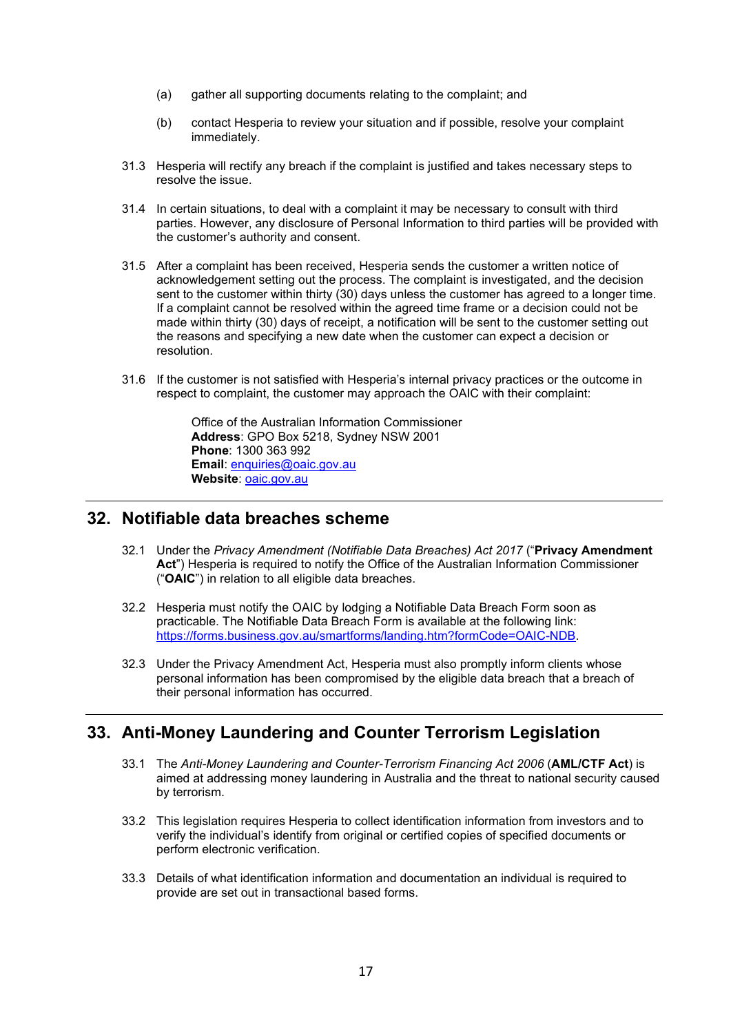- (a) gather all supporting documents relating to the complaint; and
- (b) contact Hesperia to review your situation and if possible, resolve your complaint immediately.
- 31.3 Hesperia will rectify any breach if the complaint is justified and takes necessary steps to resolve the issue.
- 31.4 In certain situations, to deal with a complaint it may be necessary to consult with third parties. However, any disclosure of Personal Information to third parties will be provided with the customer's authority and consent.
- 31.5 After a complaint has been received, Hesperia sends the customer a written notice of acknowledgement setting out the process. The complaint is investigated, and the decision sent to the customer within thirty (30) days unless the customer has agreed to a longer time. If a complaint cannot be resolved within the agreed time frame or a decision could not be made within thirty (30) days of receipt, a notification will be sent to the customer setting out the reasons and specifying a new date when the customer can expect a decision or resolution.
- 31.6 If the customer is not satisfied with Hesperia's internal privacy practices or the outcome in respect to complaint, the customer may approach the OAIC with their complaint:

Office of the Australian Information Commissioner **Address**: GPO Box 5218, Sydney NSW 2001 **Phone**: 1300 363 992 **Email: [enquiries@oaic.gov.au](mailto:enquiries@oaic.gov.au) Website**: [oaic.gov.au](http://oaic.gov.au/)

#### **32. Notifiable data breaches scheme**

- 32.1 Under the *Privacy Amendment (Notifiable Data Breaches) Act 2017* ("**Privacy Amendment Act**") Hesperia is required to notify the Office of the Australian Information Commissioner ("**OAIC**") in relation to all eligible data breaches.
- 32.2 Hesperia must notify the OAIC by lodging a Notifiable Data Breach Form soon as practicable. The Notifiable Data Breach Form is available at the following link: [https://forms.business.gov.au/smartforms/landing.htm?formCode=OAIC-NDB.](https://forms.business.gov.au/smartforms/landing.htm?formCode=OAIC-NDB)
- 32.3 Under the Privacy Amendment Act, Hesperia must also promptly inform clients whose personal information has been compromised by the eligible data breach that a breach of their personal information has occurred.

#### **33. Anti-Money Laundering and Counter Terrorism Legislation**

- 33.1 The *Anti-Money Laundering and Counter-Terrorism Financing Act 2006* (**AML/CTF Act**) is aimed at addressing money laundering in Australia and the threat to national security caused by terrorism.
- 33.2 This legislation requires Hesperia to collect identification information from investors and to verify the individual's identify from original or certified copies of specified documents or perform electronic verification.
- 33.3 Details of what identification information and documentation an individual is required to provide are set out in transactional based forms.